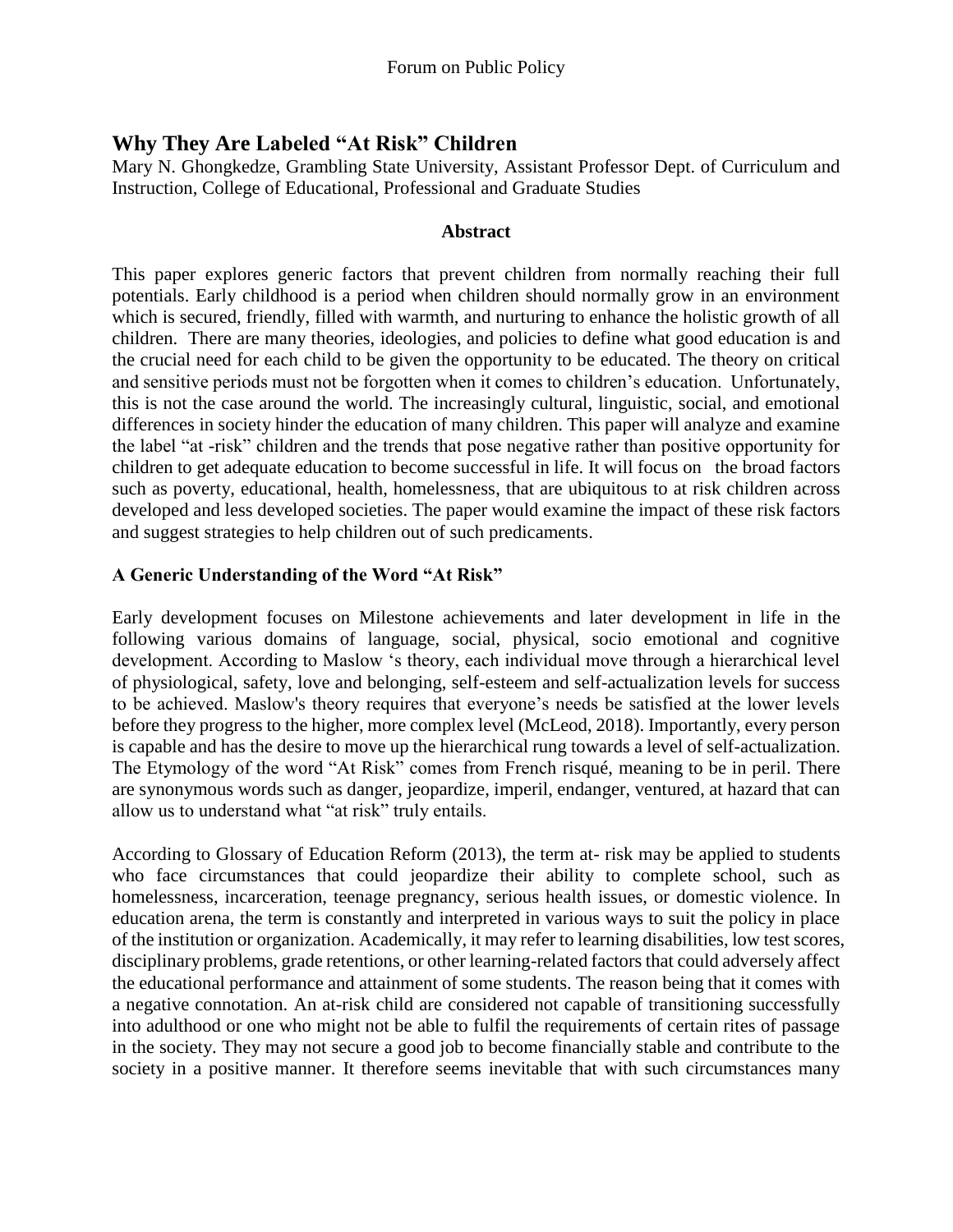# **Why They Are Labeled "At Risk" Children**

Mary N. Ghongkedze, Grambling State University, Assistant Professor Dept. of Curriculum and Instruction, College of Educational, Professional and Graduate Studies

## **Abstract**

This paper explores generic factors that prevent children from normally reaching their full potentials. Early childhood is a period when children should normally grow in an environment which is secured, friendly, filled with warmth, and nurturing to enhance the holistic growth of all children. There are many theories, ideologies, and policies to define what good education is and the crucial need for each child to be given the opportunity to be educated. The theory on critical and sensitive periods must not be forgotten when it comes to children's education. Unfortunately, this is not the case around the world. The increasingly cultural, linguistic, social, and emotional differences in society hinder the education of many children. This paper will analyze and examine the label "at -risk" children and the trends that pose negative rather than positive opportunity for children to get adequate education to become successful in life. It will focus on the broad factors such as poverty, educational, health, homelessness, that are ubiquitous to at risk children across developed and less developed societies. The paper would examine the impact of these risk factors and suggest strategies to help children out of such predicaments.

## **A Generic Understanding of the Word "At Risk"**

Early development focuses on Milestone achievements and later development in life in the following various domains of language, social, physical, socio emotional and cognitive development. According to Maslow 's theory, each individual move through a hierarchical level of physiological, safety, love and belonging, self-esteem and self-actualization levels for success to be achieved. Maslow's theory requires that everyone's needs be satisfied at the lower levels before they progress to the higher, more complex level (McLeod, 2018). Importantly, every person is capable and has the desire to move up the hierarchical rung towards a level of self-actualization. The Etymology of the word "At Risk" comes from French risqué, meaning to be in peril. There are synonymous words such as danger, jeopardize, imperil, endanger, ventured, at hazard that can allow us to understand what "at risk" truly entails.

According to Glossary of Education Reform (2013), the term at- risk may be applied to students who face circumstances that could jeopardize their ability to complete school, such as homelessness, incarceration, teenage pregnancy, serious health issues, or domestic violence. In education arena, the term is constantly and interpreted in various ways to suit the policy in place of the institution or organization. Academically, it may refer to learning disabilities, low test scores, disciplinary problems, grade retentions, or other learning-related factors that could adversely affect the educational performance and attainment of some students. The reason being that it comes with a negative connotation. An at-risk child are considered not capable of transitioning successfully into adulthood or one who might not be able to fulfil the requirements of certain rites of passage in the society. They may not secure a good job to become financially stable and contribute to the society in a positive manner. It therefore seems inevitable that with such circumstances many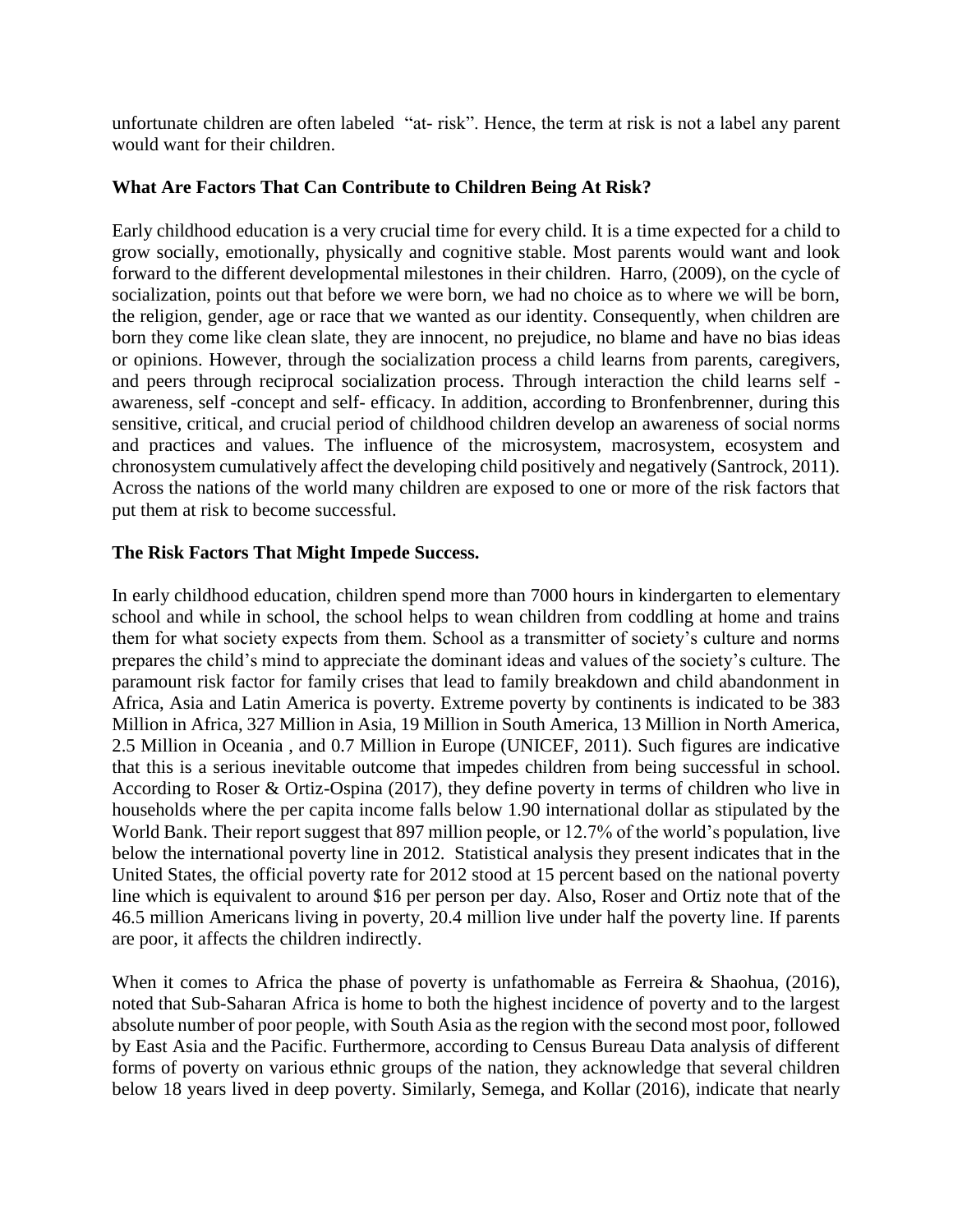unfortunate children are often labeled "at- risk". Hence, the term at risk is not a label any parent would want for their children.

## **What Are Factors That Can Contribute to Children Being At Risk?**

Early childhood education is a very crucial time for every child. It is a time expected for a child to grow socially, emotionally, physically and cognitive stable. Most parents would want and look forward to the different developmental milestones in their children. Harro, (2009), on the cycle of socialization, points out that before we were born, we had no choice as to where we will be born, the religion, gender, age or race that we wanted as our identity. Consequently, when children are born they come like clean slate, they are innocent, no prejudice, no blame and have no bias ideas or opinions. However, through the socialization process a child learns from parents, caregivers, and peers through reciprocal socialization process. Through interaction the child learns self awareness, self -concept and self- efficacy. In addition, according to Bronfenbrenner, during this sensitive, critical, and crucial period of childhood children develop an awareness of social norms and practices and values. The influence of the microsystem, macrosystem, ecosystem and chronosystem cumulatively affect the developing child positively and negatively (Santrock, 2011). Across the nations of the world many children are exposed to one or more of the risk factors that put them at risk to become successful.

## **The Risk Factors That Might Impede Success.**

In early childhood education, children spend more than 7000 hours in kindergarten to elementary school and while in school, the school helps to wean children from coddling at home and trains them for what society expects from them. School as a transmitter of society's culture and norms prepares the child's mind to appreciate the dominant ideas and values of the society's culture. The paramount risk factor for family crises that lead to family breakdown and child abandonment in Africa, Asia and Latin America is poverty. Extreme poverty by continents is indicated to be 383 Million in Africa, 327 Million in Asia, 19 Million in South America, 13 Million in North America, 2.5 Million in Oceania , and 0.7 Million in Europe (UNICEF, 2011). Such figures are indicative that this is a serious inevitable outcome that impedes children from being successful in school. According to Roser & Ortiz-Ospina (2017), they define poverty in terms of children who live in households where the per capita income falls below 1.90 international dollar as stipulated by the World Bank. Their report suggest that 897 million people, or 12.7% of the world's population, live below the international poverty line in 2012. Statistical analysis they present indicates that in the United States, the official poverty rate for 2012 stood at 15 percent based on the national poverty line which is equivalent to around \$16 per person per day. Also, Roser and Ortiz note that of the 46.5 million Americans living in poverty, 20.4 million live under half the poverty line. If parents are poor, it affects the children indirectly.

When it comes to Africa the phase of poverty is unfathomable as Ferreira & Shaohua, (2016), noted that Sub-Saharan Africa is home to both the highest incidence of poverty and to the largest absolute number of poor people, with South Asia asthe region with the second most poor, followed by East Asia and the Pacific. Furthermore, according to Census Bureau Data analysis of different forms of poverty on various ethnic groups of the nation, they acknowledge that several children below 18 years lived in deep poverty. Similarly, Semega, and Kollar (2016), indicate that nearly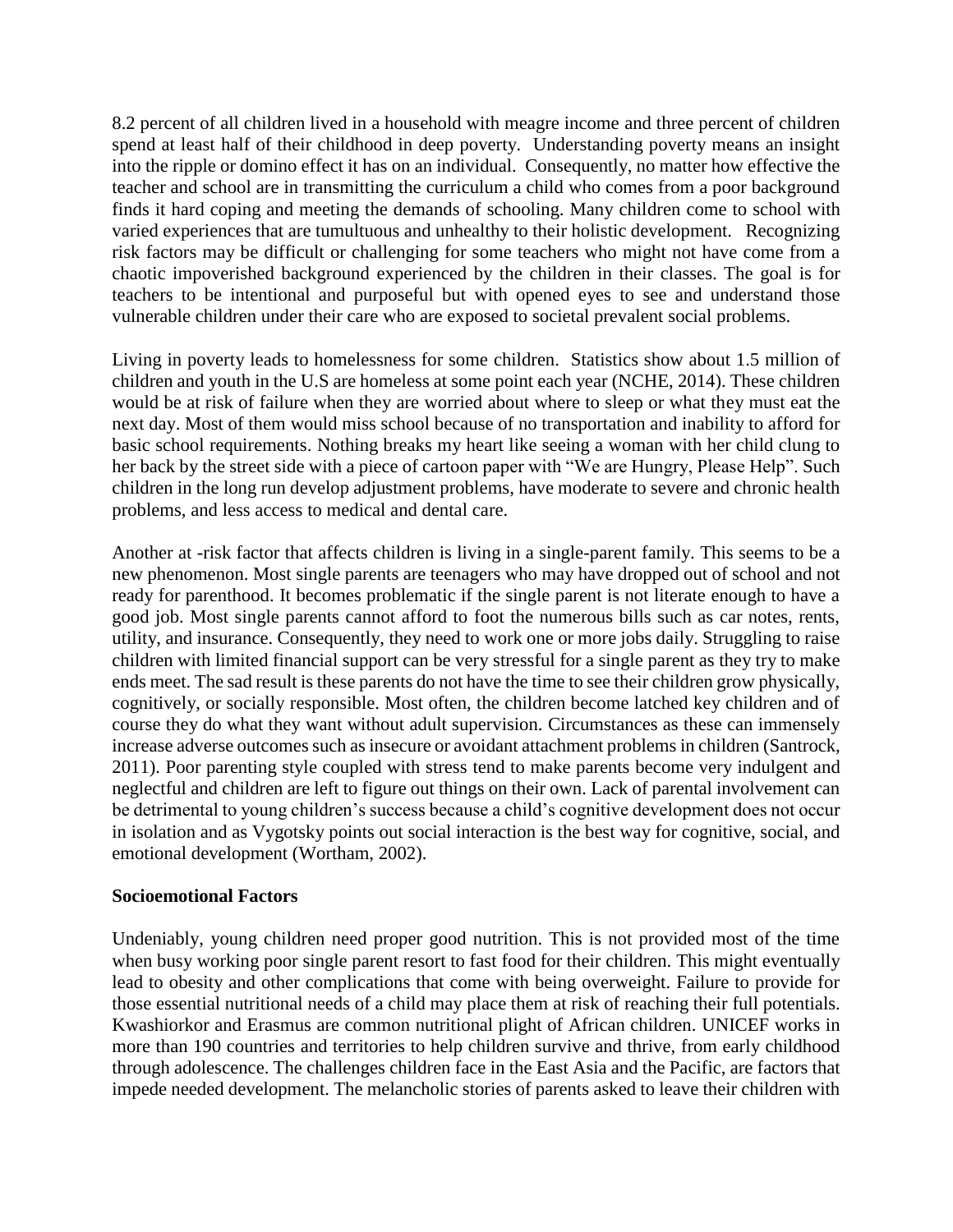8.2 percent of all children lived in a household with meagre income and three percent of children spend at least half of their childhood in deep poverty. Understanding poverty means an insight into the ripple or domino effect it has on an individual. Consequently, no matter how effective the teacher and school are in transmitting the curriculum a child who comes from a poor background finds it hard coping and meeting the demands of schooling. Many children come to school with varied experiences that are tumultuous and unhealthy to their holistic development. Recognizing risk factors may be difficult or challenging for some teachers who might not have come from a chaotic impoverished background experienced by the children in their classes. The goal is for teachers to be intentional and purposeful but with opened eyes to see and understand those vulnerable children under their care who are exposed to societal prevalent social problems.

Living in poverty leads to homelessness for some children. Statistics show about 1.5 million of children and youth in the U.S are homeless at some point each year (NCHE, 2014). These children would be at risk of failure when they are worried about where to sleep or what they must eat the next day. Most of them would miss school because of no transportation and inability to afford for basic school requirements. Nothing breaks my heart like seeing a woman with her child clung to her back by the street side with a piece of cartoon paper with "We are Hungry, Please Help". Such children in the long run develop adjustment problems, have moderate to severe and chronic health problems, and less access to medical and dental care.

Another at -risk factor that affects children is living in a single-parent family. This seems to be a new phenomenon. Most single parents are teenagers who may have dropped out of school and not ready for parenthood. It becomes problematic if the single parent is not literate enough to have a good job. Most single parents cannot afford to foot the numerous bills such as car notes, rents, utility, and insurance. Consequently, they need to work one or more jobs daily. Struggling to raise children with limited financial support can be very stressful for a single parent as they try to make ends meet. The sad result is these parents do not have the time to see their children grow physically, cognitively, or socially responsible. Most often, the children become latched key children and of course they do what they want without adult supervision. Circumstances as these can immensely increase adverse outcomes such as insecure or avoidant attachment problems in children (Santrock, 2011). Poor parenting style coupled with stress tend to make parents become very indulgent and neglectful and children are left to figure out things on their own. Lack of parental involvement can be detrimental to young children's success because a child's cognitive development does not occur in isolation and as Vygotsky points out social interaction is the best way for cognitive, social, and emotional development (Wortham, 2002).

### **Socioemotional Factors**

Undeniably, young children need proper good nutrition. This is not provided most of the time when busy working poor single parent resort to fast food for their children. This might eventually lead to obesity and other complications that come with being overweight. Failure to provide for those essential nutritional needs of a child may place them at risk of reaching their full potentials. Kwashiorkor and Erasmus are common nutritional plight of African children. UNICEF works in more than 190 countries and territories to help children survive and thrive, from early childhood through adolescence. The challenges children face in the East Asia and the Pacific, are factors that impede needed development. The melancholic stories of parents asked to leave their children with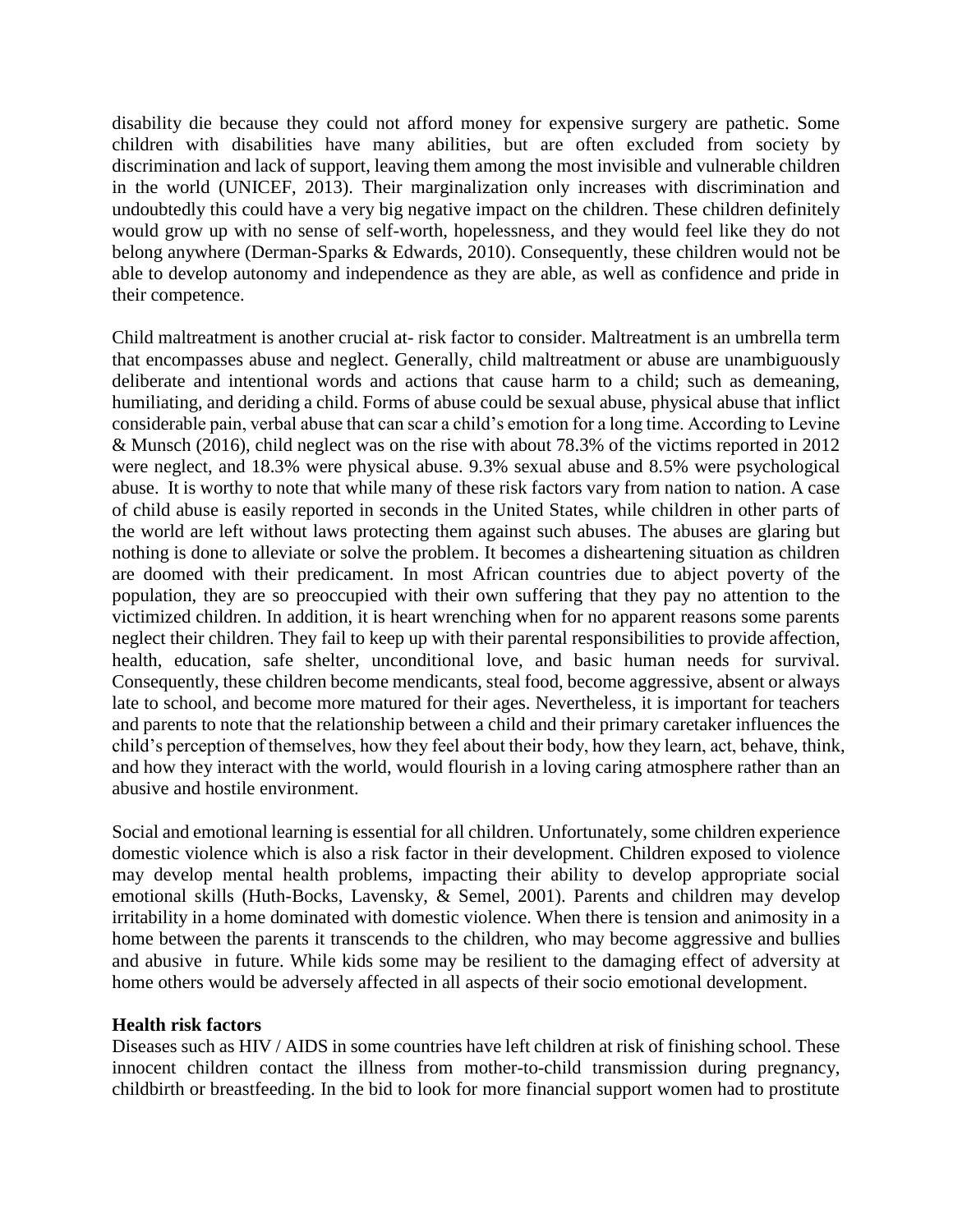disability die because they could not afford money for expensive surgery are pathetic. Some children with disabilities have many abilities, but are often excluded from society by discrimination and lack of support, leaving them among the most invisible and vulnerable children in the world (UNICEF, 2013). Their marginalization only increases with discrimination and undoubtedly this could have a very big negative impact on the children. These children definitely would grow up with no sense of self-worth, hopelessness, and they would feel like they do not belong anywhere (Derman-Sparks & Edwards, 2010). Consequently, these children would not be able to develop autonomy and independence as they are able, as well as confidence and pride in their competence.

Child maltreatment is another crucial at- risk factor to consider. Maltreatment is an umbrella term that encompasses abuse and neglect. Generally, child maltreatment or abuse are unambiguously deliberate and intentional words and actions that cause harm to a child; such as demeaning, humiliating, and deriding a child. Forms of abuse could be sexual abuse, physical abuse that inflict considerable pain, verbal abuse that can scar a child's emotion for a long time. According to Levine & Munsch (2016), child neglect was on the rise with about 78.3% of the victims reported in 2012 were neglect, and 18.3% were physical abuse. 9.3% sexual abuse and 8.5% were psychological abuse. It is worthy to note that while many of these risk factors vary from nation to nation. A case of child abuse is easily reported in seconds in the United States, while children in other parts of the world are left without laws protecting them against such abuses. The abuses are glaring but nothing is done to alleviate or solve the problem. It becomes a disheartening situation as children are doomed with their predicament. In most African countries due to abject poverty of the population, they are so preoccupied with their own suffering that they pay no attention to the victimized children. In addition, it is heart wrenching when for no apparent reasons some parents neglect their children. They fail to keep up with their parental responsibilities to provide affection, health, education, safe shelter, unconditional love, and basic human needs for survival. Consequently, these children become mendicants, steal food, become aggressive, absent or always late to school, and become more matured for their ages. Nevertheless, it is important for teachers and parents to note that the relationship between a child and their primary caretaker influences the child's perception of themselves, how they feel about their body, how they learn, act, behave, think, and how they interact with the world, would flourish in a loving caring atmosphere rather than an abusive and hostile environment.

Social and emotional learning is essential for all children. Unfortunately, some children experience domestic violence which is also a risk factor in their development. Children exposed to violence may develop mental health problems, impacting their ability to develop appropriate social emotional skills (Huth-Bocks, Lavensky, & Semel, 2001). Parents and children may develop irritability in a home dominated with domestic violence. When there is tension and animosity in a home between the parents it transcends to the children, who may become aggressive and bullies and abusive in future. While kids some may be resilient to the damaging effect of adversity at home others would be adversely affected in all aspects of their socio emotional development.

### **Health risk factors**

Diseases such as HIV / AIDS in some countries have left children at risk of finishing school. These innocent children contact the illness from mother-to-child transmission during pregnancy, childbirth or breastfeeding. In the bid to look for more financial support women had to prostitute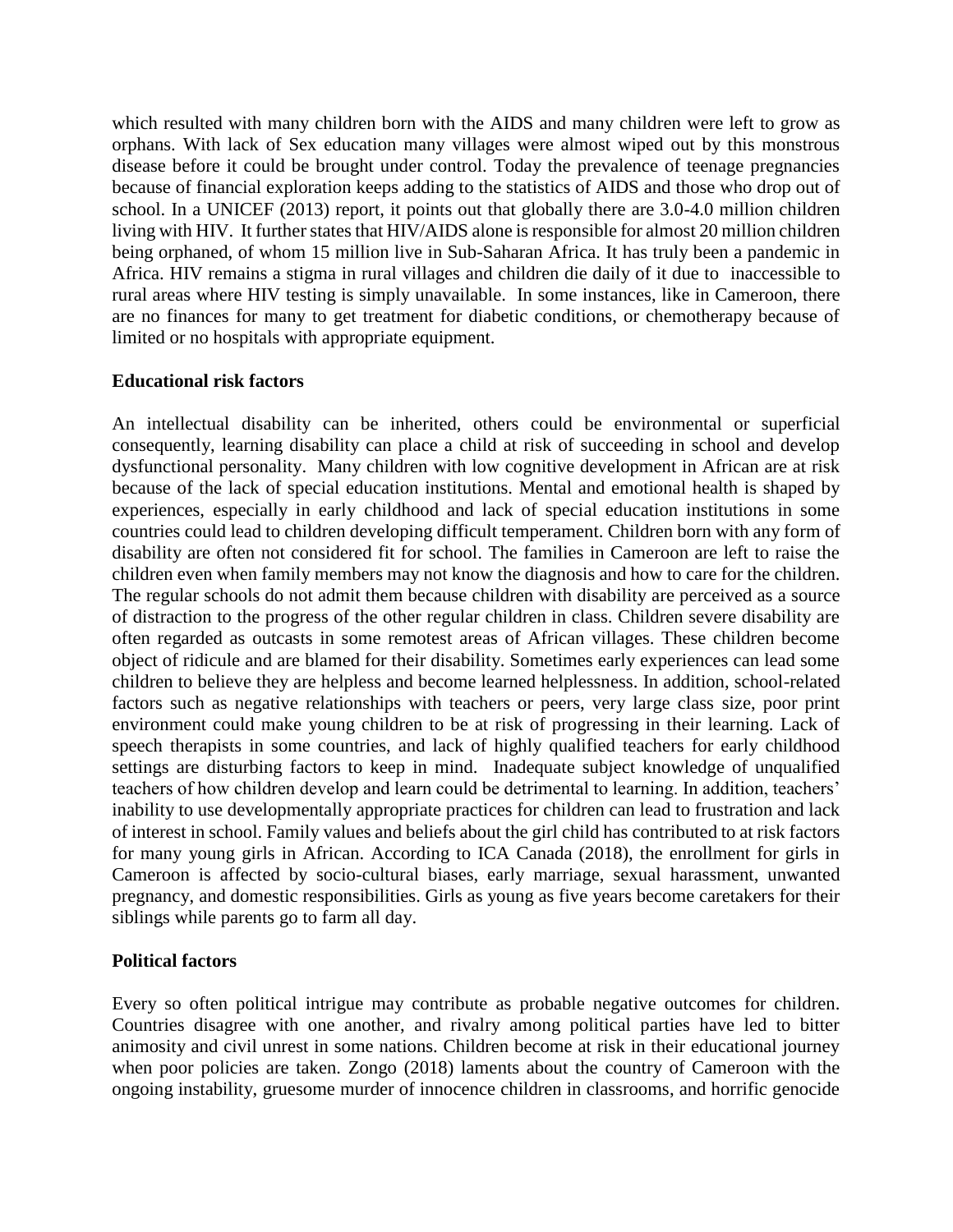which resulted with many children born with the AIDS and many children were left to grow as orphans. With lack of Sex education many villages were almost wiped out by this monstrous disease before it could be brought under control. Today the prevalence of teenage pregnancies because of financial exploration keeps adding to the statistics of AIDS and those who drop out of school. In a UNICEF (2013) report, it points out that globally there are 3.0-4.0 million children living with HIV. It further states that HIV/AIDS alone is responsible for almost 20 million children being orphaned, of whom 15 million live in Sub-Saharan Africa. It has truly been a pandemic in Africa. HIV remains a stigma in rural villages and children die daily of it due to inaccessible to rural areas where HIV testing is simply unavailable. In some instances, like in Cameroon, there are no finances for many to get treatment for diabetic conditions, or chemotherapy because of limited or no hospitals with appropriate equipment.

### **Educational risk factors**

An intellectual disability can be inherited, others could be environmental or superficial consequently, learning disability can place a child at risk of succeeding in school and develop dysfunctional personality. Many children with low cognitive development in African are at risk because of the lack of special education institutions. Mental and emotional health is shaped by experiences, especially in early childhood and lack of special education institutions in some countries could lead to children developing difficult temperament. Children born with any form of disability are often not considered fit for school. The families in Cameroon are left to raise the children even when family members may not know the diagnosis and how to care for the children. The regular schools do not admit them because children with disability are perceived as a source of distraction to the progress of the other regular children in class. Children severe disability are often regarded as outcasts in some remotest areas of African villages. These children become object of ridicule and are blamed for their disability. Sometimes early experiences can lead some children to believe they are helpless and become learned helplessness. In addition, school-related factors such as negative relationships with teachers or peers, very large class size, poor print environment could make young children to be at risk of progressing in their learning. Lack of speech therapists in some countries, and lack of highly qualified teachers for early childhood settings are disturbing factors to keep in mind. Inadequate subject knowledge of unqualified teachers of how children develop and learn could be detrimental to learning. In addition, teachers' inability to use developmentally appropriate practices for children can lead to frustration and lack of interest in school. Family values and beliefs about the girl child has contributed to at risk factors for many young girls in African. According to ICA Canada (2018), the enrollment for girls in Cameroon is affected by socio-cultural biases, early marriage, sexual harassment, unwanted pregnancy, and domestic responsibilities. Girls as young as five years become caretakers for their siblings while parents go to farm all day.

## **Political factors**

Every so often political intrigue may contribute as probable negative outcomes for children. Countries disagree with one another, and rivalry among political parties have led to bitter animosity and civil unrest in some nations. Children become at risk in their educational journey when poor policies are taken. Zongo (2018) laments about the country of Cameroon with the ongoing instability, gruesome murder of innocence children in classrooms, and horrific genocide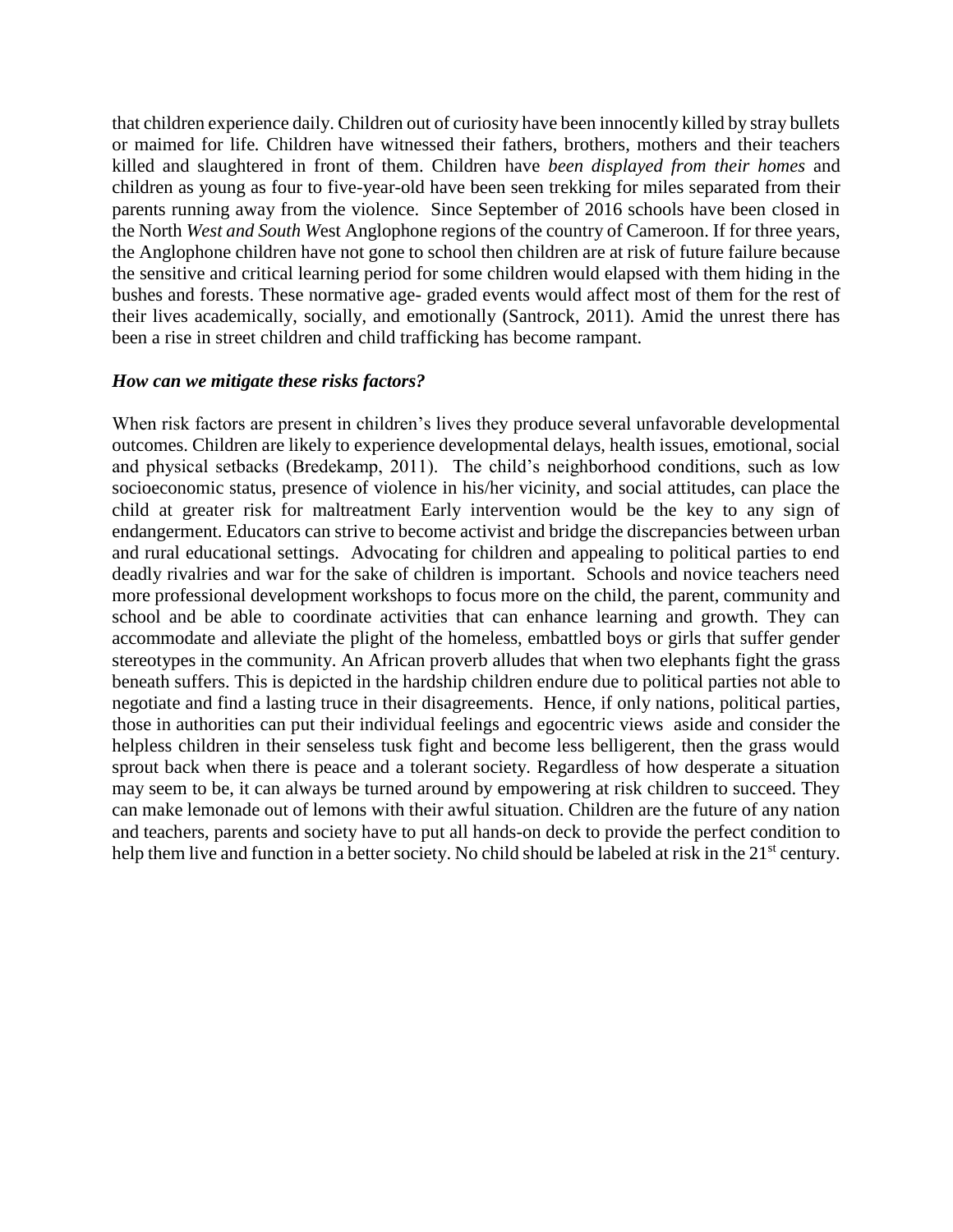that children experience daily. Children out of curiosity have been innocently killed by stray bullets or maimed for life*.* Children have witnessed their fathers, brothers, mothers and their teachers killed and slaughtered in front of them. Children have *been displayed from their homes* and children as young as four to five-year-old have been seen trekking for miles separated from their parents running away from the violence. Since September of 2016 schools have been closed in the North *West and South W*est Anglophone regions of the country of Cameroon. If for three years, the Anglophone children have not gone to school then children are at risk of future failure because the sensitive and critical learning period for some children would elapsed with them hiding in the bushes and forests. These normative age- graded events would affect most of them for the rest of their lives academically, socially, and emotionally (Santrock, 2011). Amid the unrest there has been a rise in street children and child trafficking has become rampant.

### *How can we mitigate these risks factors?*

When risk factors are present in children's lives they produce several unfavorable developmental outcomes. Children are likely to experience developmental delays, health issues, emotional, social and physical setbacks (Bredekamp, 2011). The child's neighborhood conditions, such as low socioeconomic status, presence of violence in his/her vicinity, and social attitudes, can place the child at greater risk for maltreatment Early intervention would be the key to any sign of endangerment. Educators can strive to become activist and bridge the discrepancies between urban and rural educational settings. Advocating for children and appealing to political parties to end deadly rivalries and war for the sake of children is important. Schools and novice teachers need more professional development workshops to focus more on the child, the parent, community and school and be able to coordinate activities that can enhance learning and growth. They can accommodate and alleviate the plight of the homeless, embattled boys or girls that suffer gender stereotypes in the community. An African proverb alludes that when two elephants fight the grass beneath suffers. This is depicted in the hardship children endure due to political parties not able to negotiate and find a lasting truce in their disagreements. Hence, if only nations, political parties, those in authorities can put their individual feelings and egocentric views aside and consider the helpless children in their senseless tusk fight and become less belligerent, then the grass would sprout back when there is peace and a tolerant society. Regardless of how desperate a situation may seem to be, it can always be turned around by empowering at risk children to succeed. They can make lemonade out of lemons with their awful situation. Children are the future of any nation and teachers, parents and society have to put all hands-on deck to provide the perfect condition to help them live and function in a better society. No child should be labeled at risk in the 21<sup>st</sup> century.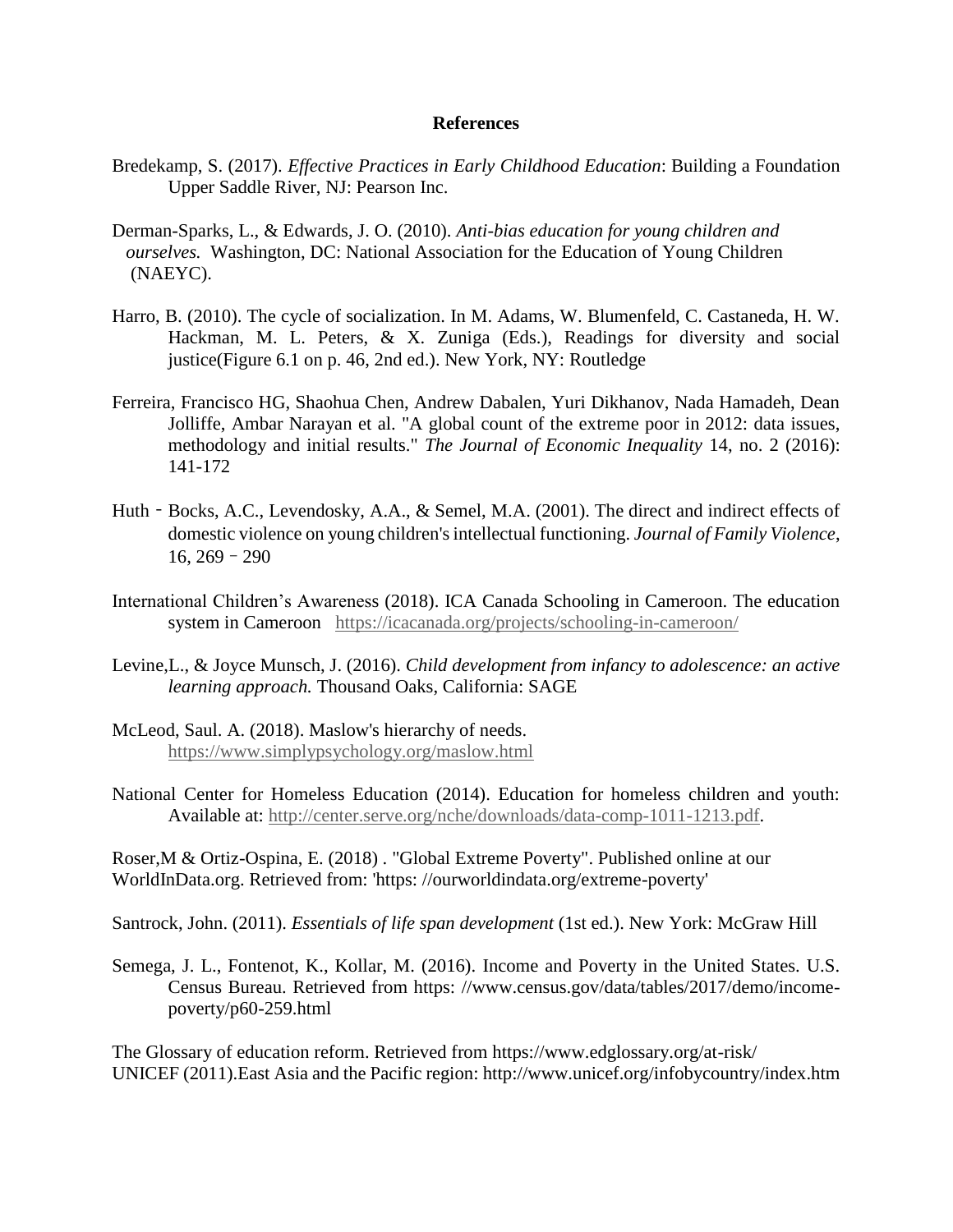#### **References**

- Bredekamp, S. (2017). *Effective Practices in Early Childhood Education*: Building a Foundation Upper Saddle River, NJ: Pearson Inc.
- Derman-Sparks, L., & Edwards, J. O. (2010). *Anti-bias education for young children and ourselves.* Washington, DC: National Association for the Education of Young Children (NAEYC).
- Harro, B. (2010). The cycle of socialization. In M. Adams, W. Blumenfeld, C. Castaneda, H. W. Hackman, M. L. Peters, & X. Zuniga (Eds.), Readings for diversity and social justice(Figure 6.1 on p. 46, 2nd ed.). New York, NY: Routledge
- Ferreira, Francisco HG, Shaohua Chen, Andrew Dabalen, Yuri Dikhanov, Nada Hamadeh, Dean Jolliffe, Ambar Narayan et al. "A global count of the extreme poor in 2012: data issues, methodology and initial results." *The Journal of Economic Inequality* 14, no. 2 (2016): 141-172
- Huth Bocks, A.C., Levendosky, A.A., & Semel, M.A. (2001). The direct and indirect effects of domestic violence on young children's intellectual functioning. *Journal of Family Violence*, 16, 269–290
- International Children's Awareness (2018). ICA Canada Schooling in Cameroon. The education system in Cameroon <https://icacanada.org/projects/schooling-in-cameroon/>
- Levine,L., & Joyce Munsch, J. (2016). *Child development from infancy to adolescence: an active learning approach.* Thousand Oaks, California: SAGE
- McLeod, Saul. A. (2018). Maslow's hierarchy of needs. <https://www.simplypsychology.org/maslow.html>
- National Center for Homeless Education (2014). Education for homeless children and youth: Available at: [http://center.serve.org/nche/downloads/data-comp-1011-1213.pdf.](http://center.serve.org/nche/downloads/data-comp-1011-1213.pdf)

Roser,M & Ortiz-Ospina, E. (2018) . "Global Extreme Poverty". Published online at our WorldInData.org. Retrieved from: 'https: //ourworldindata.org/extreme-poverty'

Santrock, John. (2011). *Essentials of life span development* (1st ed.). New York: McGraw Hill

Semega, J. L., Fontenot, K., Kollar, M. (2016). Income and Poverty in the United States. U.S. Census Bureau. Retrieved from https: //www.census.gov/data/tables/2017/demo/incomepoverty/p60-259.html

The Glossary of education reform. Retrieved from https://www.edglossary.org/at-risk/ UNICEF (2011).East Asia and the Pacific region: http://www.unicef.org/infobycountry/index.htm